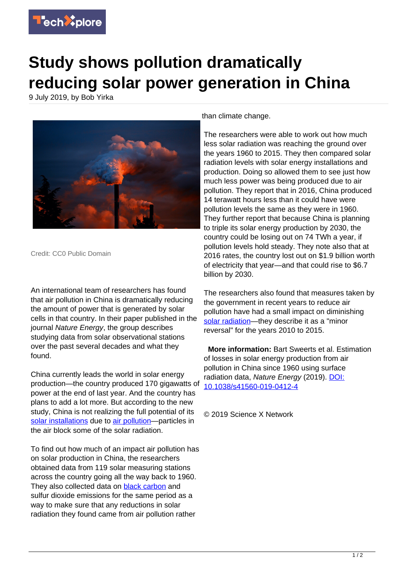

## **Study shows pollution dramatically reducing solar power generation in China**

9 July 2019, by Bob Yirka



Credit: CC0 Public Domain

An international team of researchers has found that air pollution in China is dramatically reducing the amount of power that is generated by solar cells in that country. In their paper published in the journal Nature Energy, the group describes studying data from solar observational stations over the past several decades and what they found.

China currently leads the world in solar energy production—the country produced 170 gigawatts of power at the end of last year. And the country has plans to add a lot more. But according to the new study, China is not realizing the full potential of its [solar installations](https://techxplore.com/tags/solar+installations/) due to [air pollution—](https://techxplore.com/tags/air+pollution/)particles in the air block some of the solar radiation.

To find out how much of an impact air pollution has on solar production in China, the researchers obtained data from 119 solar measuring stations across the country going all the way back to 1960. They also collected data on [black carbon](https://techxplore.com/tags/black+carbon/) and sulfur dioxide emissions for the same period as a way to make sure that any reductions in solar radiation they found came from air pollution rather

than climate change.

The researchers were able to work out how much less solar radiation was reaching the ground over the years 1960 to 2015. They then compared solar radiation levels with solar energy installations and production. Doing so allowed them to see just how much less power was being produced due to air pollution. They report that in 2016, China produced 14 terawatt hours less than it could have were pollution levels the same as they were in 1960. They further report that because China is planning to triple its solar energy production by 2030, the country could be losing out on 74 TWh a year, if pollution levels hold steady. They note also that at 2016 rates, the country lost out on \$1.9 billion worth of electricity that year—and that could rise to \$6.7 billion by 2030.

The researchers also found that measures taken by the government in recent years to reduce air pollution have had a small impact on diminishing [solar radiation—](https://techxplore.com/tags/solar+radiation/)they describe it as a "minor reversal" for the years 2010 to 2015.

 **More information:** Bart Sweerts et al. Estimation of losses in solar energy production from air pollution in China since 1960 using surface radiation data, Nature Energy (2019). [DOI:](http://dx.doi.org/10.1038/s41560-019-0412-4) [10.1038/s41560-019-0412-4](http://dx.doi.org/10.1038/s41560-019-0412-4)

© 2019 Science X Network